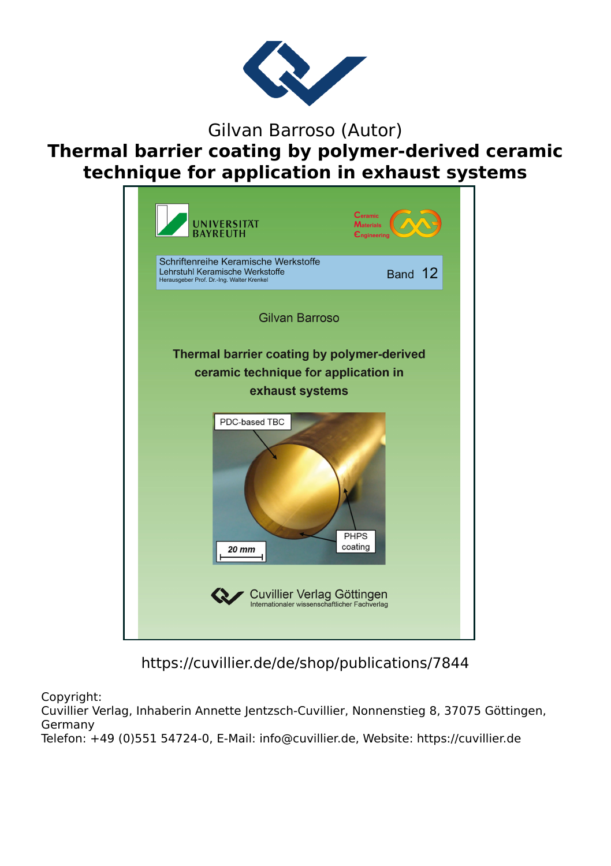

Gilvan Barroso (Autor)

**Thermal barrier coating by polymer-derived ceramic technique for application in exhaust systems**



https://cuvillier.de/de/shop/publications/7844

Copyright:

Cuvillier Verlag, Inhaberin Annette Jentzsch-Cuvillier, Nonnenstieg 8, 37075 Göttingen, Germany Telefon: +49 (0)551 54724-0, E-Mail: info@cuvillier.de, Website: https://cuvillier.de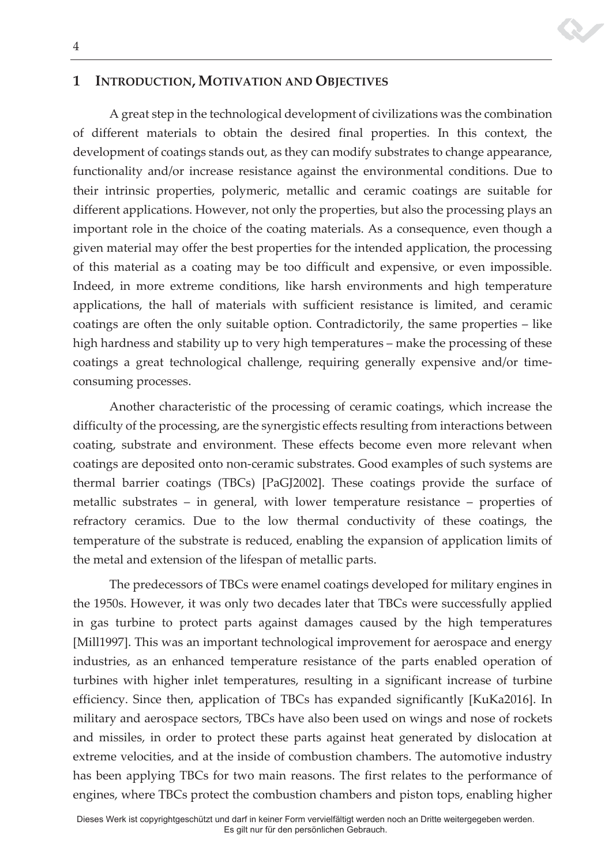#### 4

## **1 INTRODUCTION, MOTIVATION AND OBJECTIVES**

A great step in the technological development of civilizations was the combination of different materials to obtain the desired final properties. In this context, the development of coatings stands out, as they can modify substrates to change appearance, functionality and/or increase resistance against the environmental conditions. Due to their intrinsic properties, polymeric, metallic and ceramic coatings are suitable for different applications. However, not only the properties, but also the processing plays an important role in the choice of the coating materials. As a consequence, even though a given material may offer the best properties for the intended application, the processing of this material as a coating may be too difficult and expensive, or even impossible. Indeed, in more extreme conditions, like harsh environments and high temperature applications, the hall of materials with sufficient resistance is limited, and ceramic coatings are often the only suitable option. Contradictorily, the same properties – like high hardness and stability up to very high temperatures – make the processing of these coatings a great technological challenge, requiring generally expensive and/or timeconsuming processes.

Another characteristic of the processing of ceramic coatings, which increase the difficulty of the processing, are the synergistic effects resulting from interactions between coating, substrate and environment. These effects become even more relevant when coatings are deposited onto non-ceramic substrates. Good examples of such systems are thermal barrier coatings (TBCs) [PaGJ2002]. These coatings provide the surface of metallic substrates  $-$  in general, with lower temperature resistance  $-$  properties of refractory ceramics. Due to the low thermal conductivity of these coatings, the temperature of the substrate is reduced, enabling the expansion of application limits of the metal and extension of the lifespan of metallic parts.

The predecessors of TBCs were enamel coatings developed for military engines in the 1950s. However, it was only two decades later that TBCs were successfully applied in gas turbine to protect parts against damages caused by the high temperatures [Mill1997]. This was an important technological improvement for aerospace and energy industries, as an enhanced temperature resistance of the parts enabled operation of turbines with higher inlet temperatures, resulting in a significant increase of turbine efficiency. Since then, application of TBCs has expanded significantly [KuKa2016]. In military and aerospace sectors, TBCs have also been used on wings and nose of rockets and missiles, in order to protect these parts against heat generated by dislocation at extreme velocities, and at the inside of combustion chambers. The automotive industry has been applying TBCs for two main reasons. The first relates to the performance of engines, where TBCs protect the combustion chambers and piston tops, enabling higher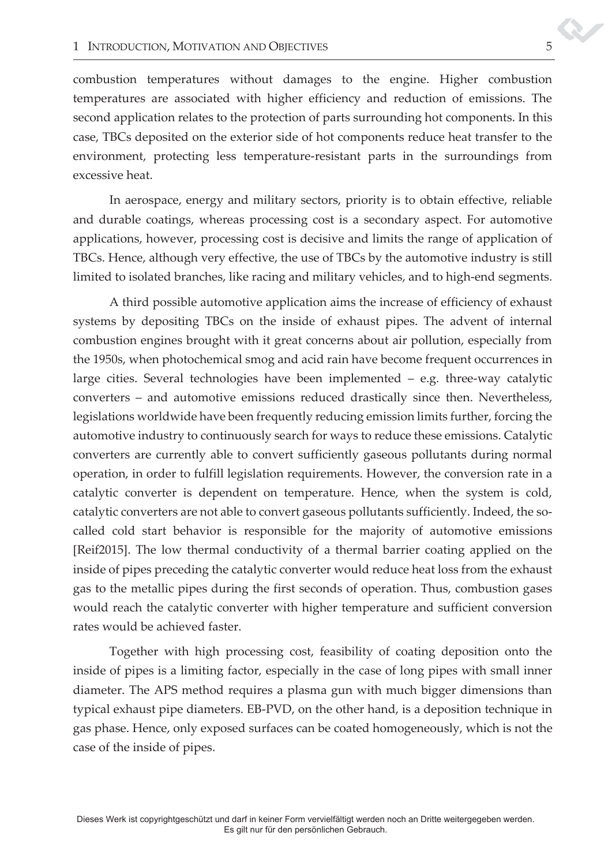combustion temperatures without damages to the engine. Higher combustion temperatures are associated with higher efficiency and reduction of emissions. The second application relates to the protection of parts surrounding hot components. In this case, TBCs deposited on the exterior side of hot components reduce heat transfer to the environment, protecting less temperature-resistant parts in the surroundings from excessive heat.

In aerospace, energy and military sectors, priority is to obtain effective, reliable and durable coatings, whereas processing cost is a secondary aspect. For automotive applications, however, processing cost is decisive and limits the range of application of TBCs. Hence, although very effective, the use of TBCs by the automotive industry is still limited to isolated branches, like racing and military vehicles, and to high-end segments.

A third possible automotive application aims the increase of efficiency of exhaust systems by depositing TBCs on the inside of exhaust pipes. The advent of internal combustion engines brought with it great concerns about air pollution, especially from the 1950s, when photochemical smog and acid rain have become frequent occurrences in large cities. Several technologies have been implemented  $-$  e.g. three-way catalytic converters - and automotive emissions reduced drastically since then. Nevertheless, legislations worldwide have been frequently reducing emission limits further, forcing the automotive industry to continuously search for ways to reduce these emissions. Catalytic converters are currently able to convert sufficiently gaseous pollutants during normal operation, in order to fulfill legislation requirements. However, the conversion rate in a catalytic converter is dependent on temperature. Hence, when the system is cold, catalytic converters are not able to convert gaseous pollutants sufficiently. Indeed, the socalled cold start behavior is responsible for the majority of automotive emissions [Reif2015]. The low thermal conductivity of a thermal barrier coating applied on the inside of pipes preceding the catalytic converter would reduce heat loss from the exhaust gas to the metallic pipes during the first seconds of operation. Thus, combustion gases would reach the catalytic converter with higher temperature and sufficient conversion rates would be achieved faster.

Together with high processing cost, feasibility of coating deposition onto the inside of pipes is a limiting factor, especially in the case of long pipes with small inner diameter. The APS method requires a plasma gun with much bigger dimensions than typical exhaust pipe diameters. EB-PVD, on the other hand, is a deposition technique in gas phase. Hence, only exposed surfaces can be coated homogeneously, which is not the case of the inside of pipes.

 Dieses Werk ist copyrightgeschützt und darf in keiner Form vervielfältigt werden noch an Dritte weitergegeben werden. Es gilt nur für den persönlichen Gebrauch.

 $\boldsymbol{\mathcal{S}}$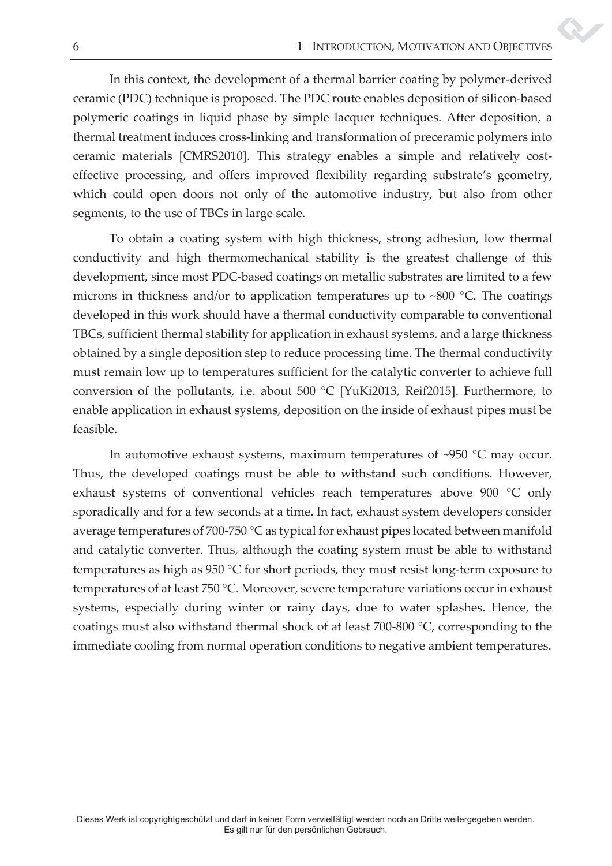In this context, the development of a thermal barrier coating by polymer-derived ceramic (PDC) technique is proposed. The PDC route enables deposition of silicon-based polymeric coatings in liquid phase by simple lacquer techniques. After deposition, a thermal treatment induces cross-linking and transformation of preceramic polymers into ceramic materials [CMRS2010]. This strategy enables a simple and relatively costeffective processing, and offers improved flexibility regarding substrate's geometry, which could open doors not only of the automotive industry, but also from other segments, to the use of TBCs in large scale.

To obtain a coating system with high thickness, strong adhesion, low thermal conductivity and high thermomechanical stability is the greatest challenge of this development, since most PDC-based coatings on metallic substrates are limited to a few microns in thickness and/or to application temperatures up to ~800 °C. The coatings developed in this work should have a thermal conductivity comparable to conventional TBCs, sufficient thermal stability for application in exhaust systems, and a large thickness obtained by a single deposition step to reduce processing time. The thermal conductivity must remain low up to temperatures sufficient for the catalytic converter to achieve full conversion of the pollutants, i.e. about 500 °C [YuKi2013, Reif2015]. Furthermore, to enable application in exhaust systems, deposition on the inside of exhaust pipes must be feasible.

In automotive exhaust systems, maximum temperatures of ~950 °C may occur. Thus, the developed coatings must be able to withstand such conditions. However, exhaust systems of conventional vehicles reach temperatures above 900 °C only sporadically and for a few seconds at a time. In fact, exhaust system developers consider average temperatures of 700-750 °C as typical for exhaust pipes located between manifold and catalytic converter. Thus, although the coating system must be able to withstand temperatures as high as 950 °C for short periods, they must resist long-term exposure to temperatures of at least 750 °C. Moreover, severe temperature variations occur in exhaust systems, especially during winter or rainy days, due to water splashes. Hence, the coatings must also withstand thermal shock of at least 700-800 °C, corresponding to the immediate cooling from normal operation conditions to negative ambient temperatures.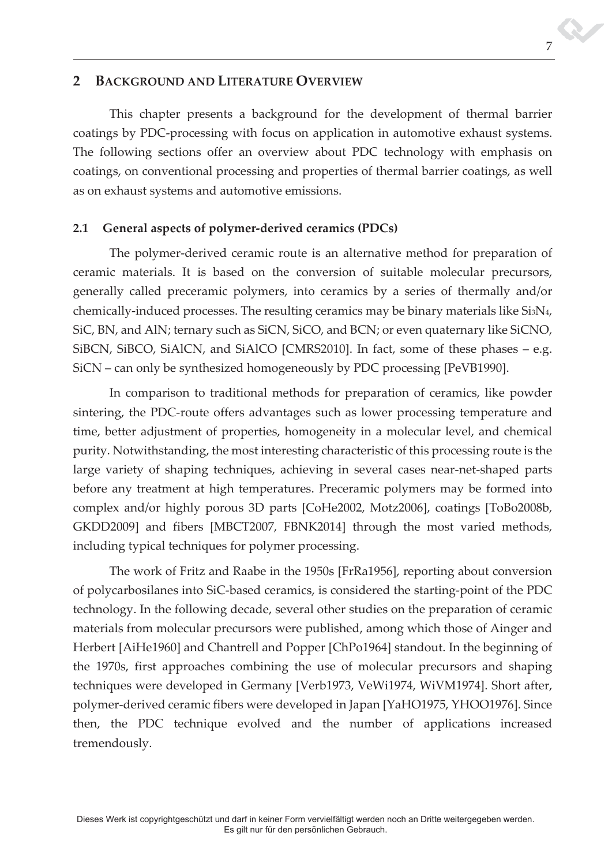# **2 BACKGROUND AND LITERATURE OVERVIEW**

This chapter presents a background for the development of thermal barrier coatings by PDC-processing with focus on application in automotive exhaust systems. The following sections offer an overview about PDC technology with emphasis on coatings, on conventional processing and properties of thermal barrier coatings, as well as on exhaust systems and automotive emissions.

## **2.1 General aspects of polymer-derived ceramics (PDCs)**

The polymer-derived ceramic route is an alternative method for preparation of ceramic materials. It is based on the conversion of suitable molecular precursors, generally called preceramic polymers, into ceramics by a series of thermally and/or chemically-induced processes. The resulting ceramics may be binary materials like Si3N4, SiC, BN, and AlN; ternary such as SiCN, SiCO, and BCN; or even quaternary like SiCNO, SiBCN, SiBCO, SiAlCN, and SiAlCO [CMRS2010]. In fact, some of these phases – e.g. SiCN – can only be synthesized homogeneously by PDC processing [PeVB1990].

In comparison to traditional methods for preparation of ceramics, like powder sintering, the PDC-route offers advantages such as lower processing temperature and time, better adjustment of properties, homogeneity in a molecular level, and chemical purity. Notwithstanding, the most interesting characteristic of this processing route is the large variety of shaping techniques, achieving in several cases near-net-shaped parts before any treatment at high temperatures. Preceramic polymers may be formed into complex and/or highly porous 3D parts [CoHe2002, Motz2006], coatings [ToBo2008b, GKDD2009] and fibers [MBCT2007, FBNK2014] through the most varied methods, including typical techniques for polymer processing.

The work of Fritz and Raabe in the 1950s [FrRa1956], reporting about conversion of polycarbosilanes into SiC-based ceramics, is considered the starting-point of the PDC technology. In the following decade, several other studies on the preparation of ceramic materials from molecular precursors were published, among which those of Ainger and Herbert [AiHe1960] and Chantrell and Popper [ChPo1964] standout. In the beginning of the 1970s, first approaches combining the use of molecular precursors and shaping techniques were developed in Germany [Verb1973, VeWi1974, WiVM1974]. Short after, polymer-derived ceramic fibers were developed in Japan [YaHO1975, YHOO1976]. Since then, the PDC technique evolved and the number of applications increased tremendously.

7 7

S.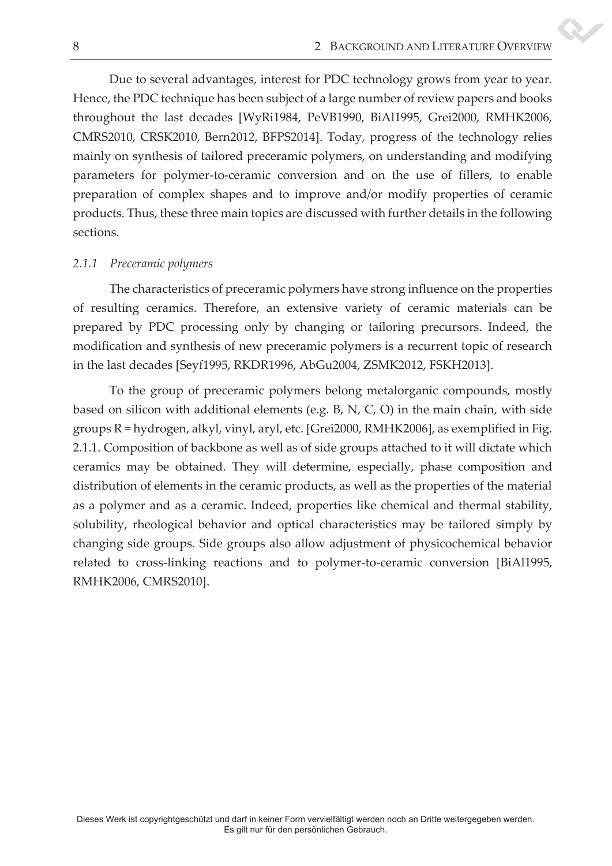Due to several advantages, interest for PDC technology grows from year to year. Hence, the PDC technique has been subject of a large number of review papers and books throughout the last decades [WyRi1984, PeVB1990, BiAl1995, Grei2000, RMHK2006, CMRS2010, CRSK2010, Bern2012, BFPS2014]. Today, progress of the technology relies mainly on synthesis of tailored preceramic polymers, on understanding and modifying parameters for polymer-to-ceramic conversion and on the use of fillers, to enable preparation of complex shapes and to improve and/or modify properties of ceramic products. Thus, these three main topics are discussed with further details in the following sections.

## *2.1.1 Preceramic polymers*

The characteristics of preceramic polymers have strong influence on the properties of resulting ceramics. Therefore, an extensive variety of ceramic materials can be prepared by PDC processing only by changing or tailoring precursors. Indeed, the modification and synthesis of new preceramic polymers is a recurrent topic of research in the last decades [Seyf1995, RKDR1996, AbGu2004, ZSMK2012, FSKH2013].

To the group of preceramic polymers belong metalorganic compounds, mostly based on silicon with additional elements (e.g. B, N, C, O) in the main chain, with side groups R = hydrogen, alkyl, vinyl, aryl, etc. [Grei2000, RMHK2006], as exemplified in Fig. 2.1.1. Composition of backbone as well as of side groups attached to it will dictate which ceramics may be obtained. They will determine, especially, phase composition and distribution of elements in the ceramic products, as well as the properties of the material as a polymer and as a ceramic. Indeed, properties like chemical and thermal stability, solubility, rheological behavior and optical characteristics may be tailored simply by changing side groups. Side groups also allow adjustment of physicochemical behavior related to cross-linking reactions and to polymer-to-ceramic conversion [BiAl1995, RMHK2006, CMRS2010].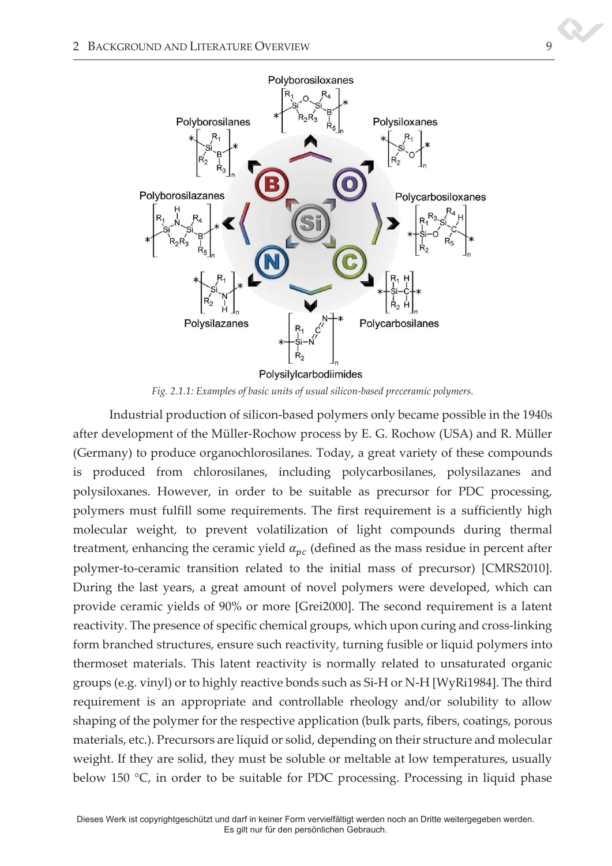

*Fig. 2.1.1: Examples of basic units of usual silicon-based preceramic polymers.* 

Industrial production of silicon-based polymers only became possible in the 1940s after development of the Müller-Rochow process by E. G. Rochow (USA) and R. Müller (Germany) to produce organochlorosilanes. Today, a great variety of these compounds is produced from chlorosilanes, including polycarbosilanes, polysilazanes and polysiloxanes. However, in order to be suitable as precursor for PDC processing, polymers must fulfill some requirements. The first requirement is a sufficiently high molecular weight, to prevent volatilization of light compounds during thermal treatment, enhancing the ceramic yield  $\alpha_{pc}$  (defined as the mass residue in percent after polymer-to-ceramic transition related to the initial mass of precursor) [CMRS2010]. During the last years, a great amount of novel polymers were developed, which can provide ceramic yields of 90% or more [Grei2000]. The second requirement is a latent reactivity. The presence of specific chemical groups, which upon curing and cross-linking form branched structures, ensure such reactivity, turning fusible or liquid polymers into thermoset materials. This latent reactivity is normally related to unsaturated organic groups (e.g. vinyl) or to highly reactive bonds such as Si-H or N-H [WyRi1984]. The third requirement is an appropriate and controllable rheology and/or solubility to allow shaping of the polymer for the respective application (bulk parts, fibers, coatings, porous materials, etc.). Precursors are liquid or solid, depending on their structure and molecular weight. If they are solid, they must be soluble or meltable at low temperatures, usually below 150 °C, in order to be suitable for PDC processing. Processing in liquid phase

 Dieses Werk ist copyrightgeschützt und darf in keiner Form vervielfältigt werden noch an Dritte weitergegeben werden. Es gilt nur für den persönlichen Gebrauch.

9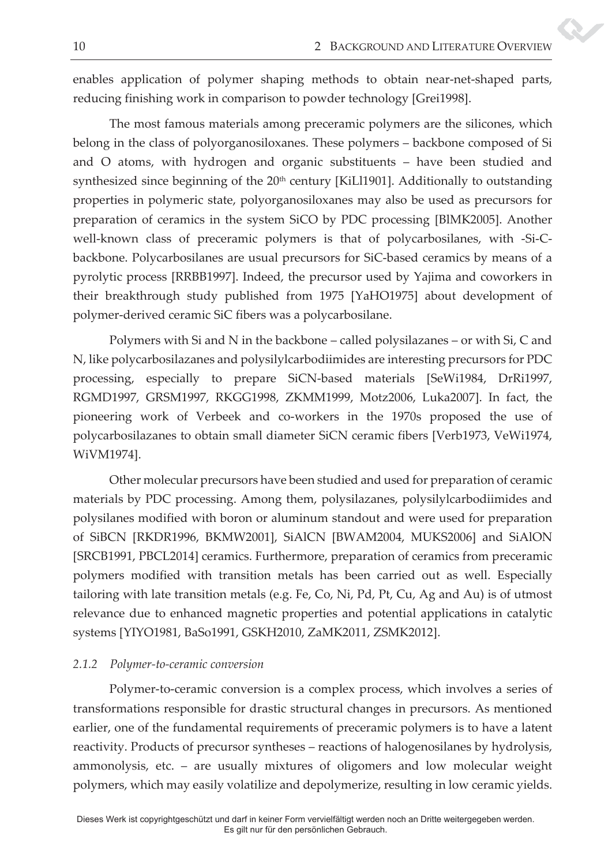enables application of polymer shaping methods to obtain near-net-shaped parts, reducing finishing work in comparison to powder technology [Grei1998].

The most famous materials among preceramic polymers are the silicones, which belong in the class of polyorganosiloxanes. These polymers - backbone composed of Si and O atoms, with hydrogen and organic substituents - have been studied and synthesized since beginning of the  $20<sup>th</sup>$  century [KiLl1901]. Additionally to outstanding properties in polymeric state, polyorganosiloxanes may also be used as precursors for preparation of ceramics in the system SiCO by PDC processing [BlMK2005]. Another well-known class of preceramic polymers is that of polycarbosilanes, with -Si-Cbackbone. Polycarbosilanes are usual precursors for SiC-based ceramics by means of a pyrolytic process [RRBB1997]. Indeed, the precursor used by Yajima and coworkers in their breakthrough study published from 1975 [YaHO1975] about development of polymer-derived ceramic SiC fibers was a polycarbosilane.

Polymers with Si and N in the backbone  $-$  called polysilazanes  $-$  or with Si, C and N, like polycarbosilazanes and polysilylcarbodiimides are interesting precursors for PDC processing, especially to prepare SiCN-based materials [SeWi1984, DrRi1997, RGMD1997, GRSM1997, RKGG1998, ZKMM1999, Motz2006, Luka2007]. In fact, the pioneering work of Verbeek and co-workers in the 1970s proposed the use of polycarbosilazanes to obtain small diameter SiCN ceramic fibers [Verb1973, VeWi1974, WiVM1974].

Other molecular precursors have been studied and used for preparation of ceramic materials by PDC processing. Among them, polysilazanes, polysilylcarbodiimides and polysilanes modified with boron or aluminum standout and were used for preparation of SiBCN [RKDR1996, BKMW2001], SiAlCN [BWAM2004, MUKS2006] and SiAlON [SRCB1991, PBCL2014] ceramics. Furthermore, preparation of ceramics from preceramic polymers modified with transition metals has been carried out as well. Especially tailoring with late transition metals (e.g. Fe, Co, Ni, Pd, Pt, Cu, Ag and Au) is of utmost relevance due to enhanced magnetic properties and potential applications in catalytic systems [YIYO1981, BaSo1991, GSKH2010, ZaMK2011, ZSMK2012].

#### *2.1.2 Polymer-to-ceramic conversion*

Polymer-to-ceramic conversion is a complex process, which involves a series of transformations responsible for drastic structural changes in precursors. As mentioned earlier, one of the fundamental requirements of preceramic polymers is to have a latent reactivity. Products of precursor syntheses – reactions of halogenosilanes by hydrolysis, ammonolysis, etc. – are usually mixtures of oligomers and low molecular weight polymers, which may easily volatilize and depolymerize, resulting in low ceramic yields.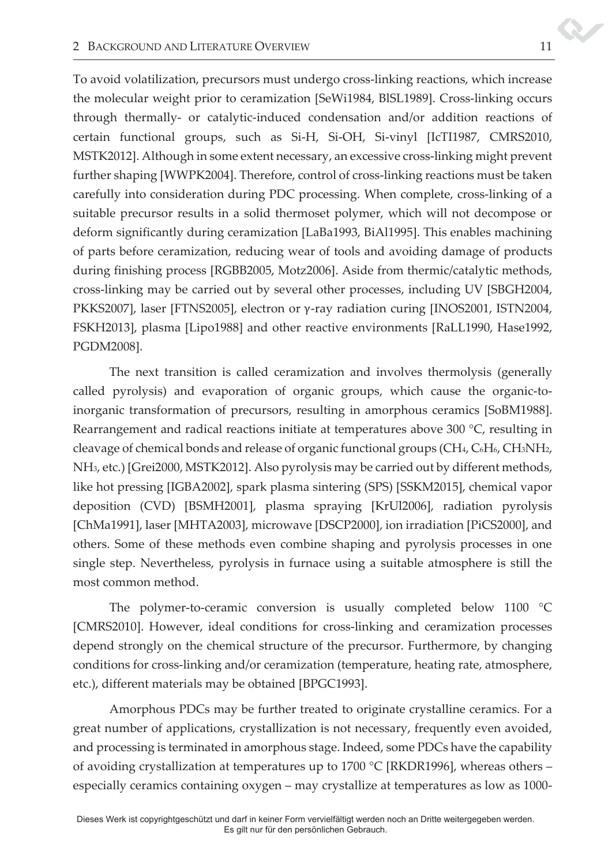To avoid volatilization, precursors must undergo cross-linking reactions, which increase the molecular weight prior to ceramization [SeWi1984, BlSL1989]. Cross-linking occurs through thermally- or catalytic-induced condensation and/or addition reactions of certain functional groups, such as Si-H, Si-OH, Si-vinyl [IcTI1987, CMRS2010, MSTK2012]. Although in some extent necessary, an excessive cross-linking might prevent further shaping [WWPK2004]. Therefore, control of cross-linking reactions must be taken carefully into consideration during PDC processing. When complete, cross-linking of a suitable precursor results in a solid thermoset polymer, which will not decompose or deform significantly during ceramization [LaBa1993, BiAl1995]. This enables machining of parts before ceramization, reducing wear of tools and avoiding damage of products during finishing process [RGBB2005, Motz2006]. Aside from thermic/catalytic methods, cross-linking may be carried out by several other processes, including UV [SBGH2004, PKKS2007], laser [FTNS2005], electron or γ-ray radiation curing [INOS2001, ISTN2004, FSKH2013], plasma [Lipo1988] and other reactive environments [RaLL1990, Hase1992, PGDM2008].

The next transition is called ceramization and involves thermolysis (generally called pyrolysis) and evaporation of organic groups, which cause the organic-toinorganic transformation of precursors, resulting in amorphous ceramics [SoBM1988]. Rearrangement and radical reactions initiate at temperatures above 300 °C, resulting in cleavage of chemical bonds and release of organic functional groups (CH4, C6H6, CH3NH2, NH3, etc.) [Grei2000, MSTK2012]. Also pyrolysis may be carried out by different methods, like hot pressing [IGBA2002], spark plasma sintering (SPS) [SSKM2015], chemical vapor deposition (CVD) [BSMH2001], plasma spraying [KrUl2006], radiation pyrolysis [ChMa1991], laser [MHTA2003], microwave [DSCP2000], ion irradiation [PiCS2000], and others. Some of these methods even combine shaping and pyrolysis processes in one single step. Nevertheless, pyrolysis in furnace using a suitable atmosphere is still the most common method.

The polymer-to-ceramic conversion is usually completed below 1100 °C [CMRS2010]. However, ideal conditions for cross-linking and ceramization processes depend strongly on the chemical structure of the precursor. Furthermore, by changing conditions for cross-linking and/or ceramization (temperature, heating rate, atmosphere, etc.), different materials may be obtained [BPGC1993].

Amorphous PDCs may be further treated to originate crystalline ceramics. For a great number of applications, crystallization is not necessary, frequently even avoided, and processing is terminated in amorphous stage. Indeed, some PDCs have the capability of avoiding crystallization at temperatures up to 1700 °C [RKDR1996], whereas others  $$ especially ceramics containing oxygen - may crystallize at temperatures as low as 1000-

S.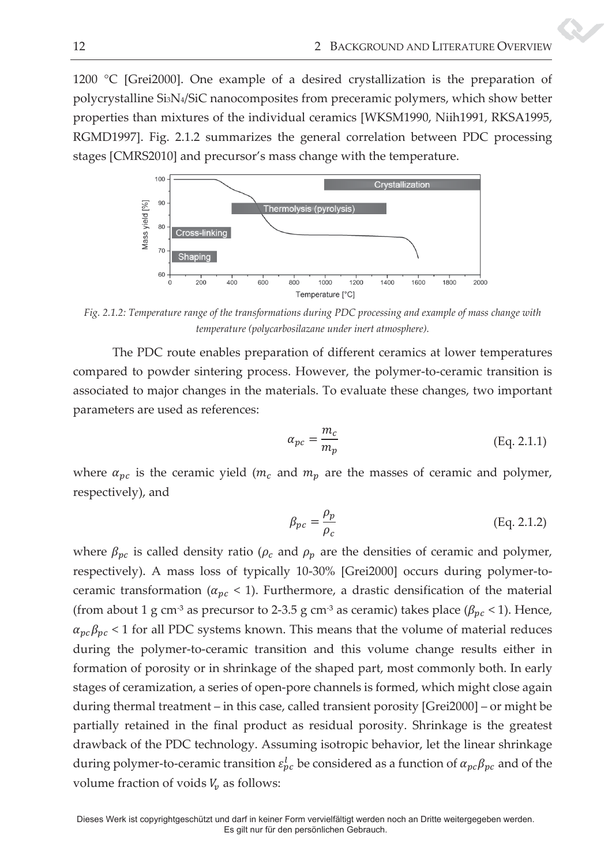1200 °C [Grei2000]. One example of a desired crystallization is the preparation of polycrystalline Si3N4/SiC nanocomposites from preceramic polymers, which show better properties than mixtures of the individual ceramics [WKSM1990, Niih1991, RKSA1995, RGMD1997]. Fig. 2.1.2 summarizes the general correlation between PDC processing stages [CMRS2010] and precursor's mass change with the temperature.



*Fig. 2.1.2: Temperature range of the transformations during PDC processing and example of mass change with temperature (polycarbosilazane under inert atmosphere).* 

 The PDC route enables preparation of different ceramics at lower temperatures compared to powder sintering process. However, the polymer-to-ceramic transition is associated to major changes in the materials. To evaluate these changes, two important parameters are used as references:

$$
\alpha_{pc} = \frac{m_c}{m_p} \tag{Eq. 2.1.1}
$$

where  $\alpha_{pc}$  is the ceramic yield ( $m_c$  and  $m_p$  are the masses of ceramic and polymer, respectively), and

$$
\beta_{pc} = \frac{\rho_p}{\rho_c} \tag{Eq. 2.1.2}
$$

where  $\beta_{pc}$  is called density ratio ( $\rho_c$  and  $\rho_p$  are the densities of ceramic and polymer, respectively). A mass loss of typically 10-30% [Grei2000] occurs during polymer-toceramic transformation ( $\alpha_{nc}$  < 1). Furthermore, a drastic densification of the material (from about 1 g cm<sup>-3</sup> as precursor to 2-3.5 g cm<sup>-3</sup> as ceramic) takes place ( $\beta_{pc}$  < 1). Hence,  $\alpha_{pc}\beta_{pc}$  < 1 for all PDC systems known. This means that the volume of material reduces during the polymer-to-ceramic transition and this volume change results either in formation of porosity or in shrinkage of the shaped part, most commonly both. In early stages of ceramization, a series of open-pore channels is formed, which might close again during thermal treatment  $-$  in this case, called transient porosity  $[Grei2000]$   $-$  or might be partially retained in the final product as residual porosity. Shrinkage is the greatest drawback of the PDC technology. Assuming isotropic behavior, let the linear shrinkage during polymer-to-ceramic transition  $\varepsilon_{pc}^l$  be considered as a function of  $\alpha_{pc}\beta_{pc}$  and of the volume fraction of voids  $V_v$  as follows:

Dieses Werk ist copyrightgeschützt und darf in keiner Form vervielfältigt werden noch an Dritte weitergegeben werden. Es gilt nur für den persönlichen Gebrauch.